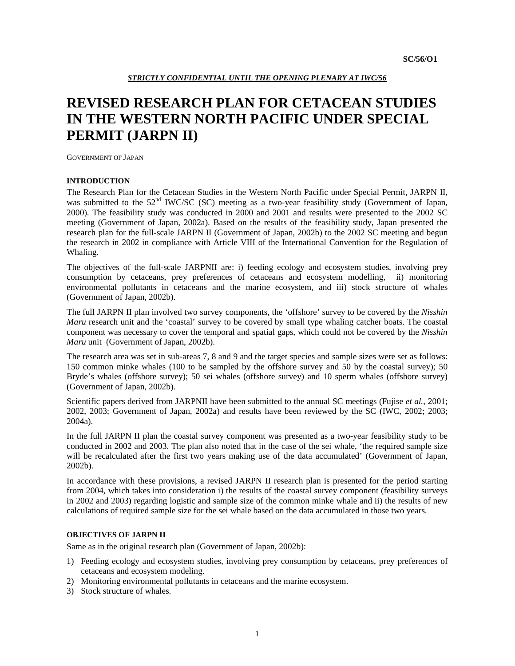# **REVISED RESEARCH PLAN FOR CETACEAN STUDIES IN THE WESTERN NORTH PACIFIC UNDER SPECIAL PERMIT (JARPN II)**

GOVERNMENT OF JAPAN

# **INTRODUCTION**

The Research Plan for the Cetacean Studies in the Western North Pacific under Special Permit, JARPN II, was submitted to the 52<sup>nd</sup> IWC/SC (SC) meeting as a two-year feasibility study (Government of Japan, 2000). The feasibility study was conducted in 2000 and 2001 and results were presented to the 2002 SC meeting (Government of Japan, 2002a). Based on the results of the feasibility study, Japan presented the research plan for the full-scale JARPN II (Government of Japan, 2002b) to the 2002 SC meeting and begun the research in 2002 in compliance with Article VIII of the International Convention for the Regulation of Whaling.

The objectives of the full-scale JARPNII are: i) feeding ecology and ecosystem studies, involving prey consumption by cetaceans, prey preferences of cetaceans and ecosystem modelling, ii) monitoring environmental pollutants in cetaceans and the marine ecosystem, and iii) stock structure of whales (Government of Japan, 2002b).

The full JARPN II plan involved two survey components, the 'offshore' survey to be covered by the *Nisshin Maru* research unit and the 'coastal' survey to be covered by small type whaling catcher boats. The coastal component was necessary to cover the temporal and spatial gaps, which could not be covered by the *Nisshin Maru* unit (Government of Japan, 2002b).

The research area was set in sub-areas 7, 8 and 9 and the target species and sample sizes were set as follows: 150 common minke whales (100 to be sampled by the offshore survey and 50 by the coastal survey); 50 Bryde's whales (offshore survey); 50 sei whales (offshore survey) and 10 sperm whales (offshore survey) (Government of Japan, 2002b).

Scientific papers derived from JARPNII have been submitted to the annual SC meetings (Fujise *et al.*, 2001; 2002, 2003; Government of Japan, 2002a) and results have been reviewed by the SC (IWC, 2002; 2003; 2004a).

In the full JARPN II plan the coastal survey component was presented as a two-year feasibility study to be conducted in 2002 and 2003. The plan also noted that in the case of the sei whale, 'the required sample size will be recalculated after the first two years making use of the data accumulated' (Government of Japan, 2002b).

In accordance with these provisions, a revised JARPN II research plan is presented for the period starting from 2004, which takes into consideration i) the results of the coastal survey component (feasibility surveys in 2002 and 2003) regarding logistic and sample size of the common minke whale and ii) the results of new calculations of required sample size for the sei whale based on the data accumulated in those two years.

# **OBJECTIVES OF JARPN II**

Same as in the original research plan (Government of Japan, 2002b):

- 1) Feeding ecology and ecosystem studies, involving prey consumption by cetaceans, prey preferences of cetaceans and ecosystem modeling.
- 2) Monitoring environmental pollutants in cetaceans and the marine ecosystem.
- 3) Stock structure of whales.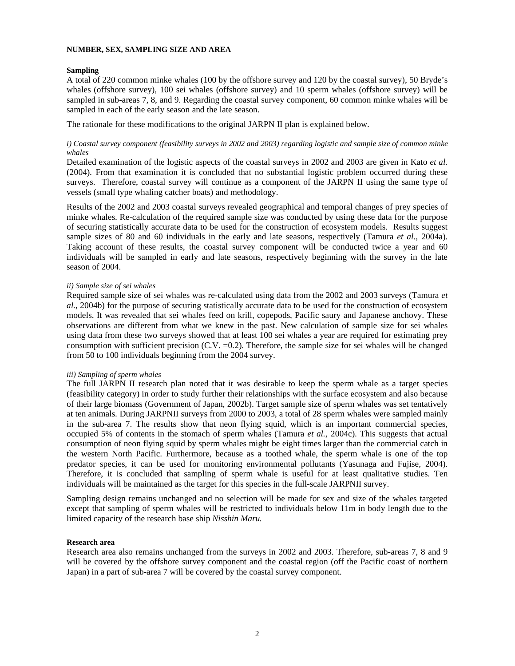# **NUMBER, SEX, SAMPLING SIZE AND AREA**

# **Sampling**

A total of 220 common minke whales (100 by the offshore survey and 120 by the coastal survey), 50 Bryde's whales (offshore survey), 100 sei whales (offshore survey) and 10 sperm whales (offshore survey) will be sampled in sub-areas 7, 8, and 9. Regarding the coastal survey component, 60 common minke whales will be sampled in each of the early season and the late season.

The rationale for these modifications to the original JARPN II plan is explained below.

*i) Coastal survey component (feasibility surveys in 2002 and 2003) regarding logistic and sample size of common minke whales* 

Detailed examination of the logistic aspects of the coastal surveys in 2002 and 2003 are given in Kato *et al.* (2004). From that examination it is concluded that no substantial logistic problem occurred during these surveys. Therefore, coastal survey will continue as a component of the JARPN II using the same type of vessels (small type whaling catcher boats) and methodology.

Results of the 2002 and 2003 coastal surveys revealed geographical and temporal changes of prey species of minke whales. Re-calculation of the required sample size was conducted by using these data for the purpose of securing statistically accurate data to be used for the construction of ecosystem models. Results suggest sample sizes of 80 and 60 individuals in the early and late seasons, respectively (Tamura *et al.*, 2004a). Taking account of these results, the coastal survey component will be conducted twice a year and 60 individuals will be sampled in early and late seasons, respectively beginning with the survey in the late season of 2004.

# *ii) Sample size of sei whales*

Required sample size of sei whales was re-calculated using data from the 2002 and 2003 surveys (Tamura *et al.*, 2004b) for the purpose of securing statistically accurate data to be used for the construction of ecosystem models. It was revealed that sei whales feed on krill, copepods, Pacific saury and Japanese anchovy. These observations are different from what we knew in the past. New calculation of sample size for sei whales using data from these two surveys showed that at least 100 sei whales a year are required for estimating prey consumption with sufficient precision  $(C.V. = 0.2)$ . Therefore, the sample size for sei whales will be changed from 50 to 100 individuals beginning from the 2004 survey.

# *iii) Sampling of sperm whales*

The full JARPN II research plan noted that it was desirable to keep the sperm whale as a target species (feasibility category) in order to study further their relationships with the surface ecosystem and also because of their large biomass (Government of Japan, 2002b). Target sample size of sperm whales was set tentatively at ten animals. During JARPNII surveys from 2000 to 2003, a total of 28 sperm whales were sampled mainly in the sub-area 7. The results show that neon flying squid, which is an important commercial species, occupied 5% of contents in the stomach of sperm whales (Tamura *et al.*, 2004c). This suggests that actual consumption of neon flying squid by sperm whales might be eight times larger than the commercial catch in the western North Pacific. Furthermore, because as a toothed whale, the sperm whale is one of the top predator species, it can be used for monitoring environmental pollutants (Yasunaga and Fujise, 2004). Therefore, it is concluded that sampling of sperm whale is useful for at least qualitative studies. Ten individuals will be maintained as the target for this species in the full-scale JARPNII survey.

Sampling design remains unchanged and no selection will be made for sex and size of the whales targeted except that sampling of sperm whales will be restricted to individuals below 11m in body length due to the limited capacity of the research base ship *Nisshin Maru.*

# **Research area**

Research area also remains unchanged from the surveys in 2002 and 2003. Therefore, sub-areas 7, 8 and 9 will be covered by the offshore survey component and the coastal region (off the Pacific coast of northern Japan) in a part of sub-area 7 will be covered by the coastal survey component.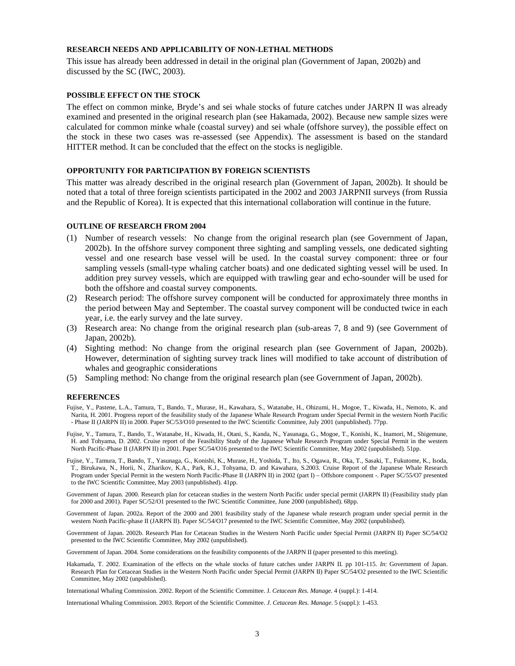# **RESEARCH NEEDS AND APPLICABILITY OF NON-LETHAL METHODS**

This issue has already been addressed in detail in the original plan (Government of Japan, 2002b) and discussed by the SC (IWC, 2003).

## **POSSIBLE EFFECT ON THE STOCK**

The effect on common minke, Bryde's and sei whale stocks of future catches under JARPN II was already examined and presented in the original research plan (see Hakamada, 2002). Because new sample sizes were calculated for common minke whale (coastal survey) and sei whale (offshore survey), the possible effect on the stock in these two cases was re-assessed (see Appendix). The assessment is based on the standard HITTER method. It can be concluded that the effect on the stocks is negligible.

# **OPPORTUNITY FOR PARTICIPATION BY FOREIGN SCIENTISTS**

This matter was already described in the original research plan (Government of Japan, 2002b). It should be noted that a total of three foreign scientists participated in the 2002 and 2003 JARPNII surveys (from Russia and the Republic of Korea). It is expected that this international collaboration will continue in the future.

### **OUTLINE OF RESEARCH FROM 2004**

- (1) Number of research vessels: No change from the original research plan (see Government of Japan, 2002b). In the offshore survey component three sighting and sampling vessels, one dedicated sighting vessel and one research base vessel will be used. In the coastal survey component: three or four sampling vessels (small-type whaling catcher boats) and one dedicated sighting vessel will be used. In addition prey survey vessels, which are equipped with trawling gear and echo-sounder will be used for both the offshore and coastal survey components.
- (2) Research period: The offshore survey component will be conducted for approximately three months in the period between May and September. The coastal survey component will be conducted twice in each year, i.e. the early survey and the late survey.
- (3) Research area: No change from the original research plan (sub-areas 7, 8 and 9) (see Government of Japan, 2002b).
- (4) Sighting method: No change from the original research plan (see Government of Japan, 2002b). However, determination of sighting survey track lines will modified to take account of distribution of whales and geographic considerations
- (5) Sampling method: No change from the original research plan (see Government of Japan, 2002b).

#### **REFERENCES**

Fujise, Y., Pastene, L.A., Tamura, T., Bando, T., Murase, H., Kawahara, S., Watanabe, H., Ohizumi, H., Mogoe, T., Kiwada, H., Nemoto, K. and Narita, H. 2001. Progress report of the feasibility study of the Japanese Whale Research Program under Special Permit in the western North Pacific - Phase II (JARPN II) in 2000. Paper SC/53/O10 presented to the IWC Scientific Committee, July 2001 (unpublished). 77pp.

Fujise, Y., Tamura, T., Bando, T., Watanabe, H., Kiwada, H., Otani, S., Kanda, N., Yasunaga, G., Mogoe, T., Konishi, K., Inamori, M., Shigemune, H. and Tohyama, D. 2002. Cruise report of the Feasibility Study of the Japanese Whale Research Program under Special Permit in the western North Pacific-Phase II (JARPN II) in 2001. Paper SC/54/O16 presented to the IWC Scientific Committee, May 2002 (unpublished). 51pp.

- Fujise, Y., Tamura, T., Bando, T., Yasunaga, G., Konishi, K., Murase, H., Yoshida, T., Ito, S., Ogawa, R., Oka, T., Sasaki, T., Fukutome, K., Isoda, T., Birukawa, N., Horii, N., Zharikov, K.A., Park, K.J., Tohyama, D. and Kawahara, S.2003. Cruise Report of the Japanese Whale Research Program under Special Permit in the western North Pacific-Phase II (JARPN II) in 2002 (part I) – Offshore component -. Paper SC/55/O7 presented to the IWC Scientific Committee, May 2003 (unpublished). 41pp.
- Government of Japan. 2000. Research plan for cetacean studies in the western North Pacific under special permit (JARPN II) (Feasibility study plan for 2000 and 2001). Paper SC/52/O1 presented to the IWC Scientific Committee, June 2000 (unpublished). 68pp.
- Government of Japan. 2002a. Report of the 2000 and 2001 feasibility study of the Japanese whale research program under special permit in the western North Pacific-phase II (JARPN II). Paper SC/54/O17 presented to the IWC Scientific Committee, May 2002 (unpublished).
- Government of Japan. 2002b. Research Plan for Cetacean Studies in the Western North Pacific under Special Permit (JARPN II) Paper SC/54/O2 presented to the IWC Scientific Committee, May 2002 (unpublished).

Government of Japan. 2004. Some considerations on the feasibility components of the JARPN II (paper presented to this meeting).

Hakamada, T. 2002. Examination of the effects on the whale stocks of future catches under JARPN II. pp 101-115. *In*: Government of Japan. Research Plan for Cetacean Studies in the Western North Pacific under Special Permit (JARPN II) Paper SC/54/O2 presented to the IWC Scientific Committee, May 2002 (unpublished).

International Whaling Commission. 2002. Report of the Scientific Committee. J*. Cetacean Res. Manage*. 4 (suppl.): 1-414.

International Whaling Commission. 2003. Report of the Scientific Committee. *J. Cetacean Res. Manage*. 5 (suppl.): 1-453.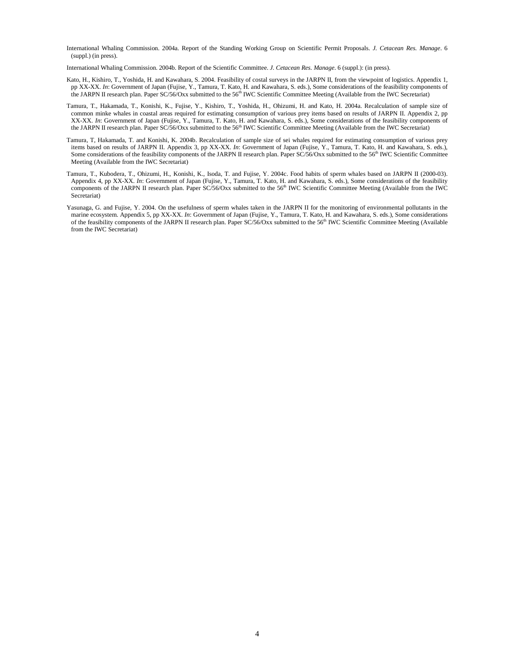International Whaling Commission. 2004a. Report of the Standing Working Group on Scientific Permit Proposals. *J. Cetacean Res. Manage*. 6 (suppl.) (in press).

International Whaling Commission. 2004b. Report of the Scientific Committee. *J. Cetacean Res. Manage*. 6 (suppl.): (in press).

- Kato, H., Kishiro, T., Yoshida, H. and Kawahara, S. 2004. Feasibility of costal surveys in the JARPN II, from the viewpoint of logistics. Appendix 1, pp XX-XX. *In*: Government of Japan (Fujise, Y., Tamura, T. Kato, H. and Kawahara, S. eds.), Some considerations of the feasibility components of the JARPN II research plan. Paper SC/56/Oxx submitted to the 56th IWC Scientific Committee Meeting (Available from the IWC Secretariat)
- Tamura, T., Hakamada, T., Konishi, K., Fujise, Y., Kishiro, T., Yoshida, H., Ohizumi, H. and Kato, H. 2004a. Recalculation of sample size of common minke whales in coastal areas required for estimating consumption of various prey items based on results of JARPN II. Appendix 2, pp XX-XX. *In*: Government of Japan (Fujise, Y., Tamura, T. Kato, H. and Kawahara, S. eds.), Some considerations of the feasibility components of the JARPN II research plan. Paper SC/56/Oxx submitted to the 56<sup>th</sup> IWC Scientific Committee Meeting (Available from the IWC Secretariat)
- Tamura, T, Hakamada, T. and Konishi, K. 2004b. Recalculation of sample size of sei whales required for estimating consumption of various prey items based on results of JARPN II. Appendix 3, pp XX-XX. *In*: Government of Japan (Fujise, Y., Tamura, T. Kato, H. and Kawahara, S. eds.), Some considerations of the feasibility components of the JARPN II research plan. Paper SC/56/Oxx submitted to the 56<sup>th</sup> IWC Scientific Committee Meeting (Available from the IWC Secretariat)
- Tamura, T., Kubodera, T., Ohizumi, H., Konishi, K., Isoda, T. and Fujise, Y. 2004c. Food habits of sperm whales based on JARPN II (2000-03). Appendix 4, pp XX-XX. *In*: Government of Japan (Fujise, Y., Tamura, T. Kato, H. and Kawahara, S. eds.), Some considerations of the feasibility components of the JARPN II research plan. Paper SC/56/Oxx submitted to the 56<sup>th</sup> IWC Scientific Committee Meeting (Available from the IWC Secretariat)
- Yasunaga, G. and Fujise, Y. 2004. On the usefulness of sperm whales taken in the JARPN II for the monitoring of environmental pollutants in the marine ecosystem. Appendix 5, pp XX-XX. *In*: Government of Japan (Fujise, Y., Tamura, T. Kato, H. and Kawahara, S. eds.), Some considerations of the feasibility components of the JARPN II research plan. Paper SC/56/Oxx submitted to the 56<sup>th</sup> IWC Scientific Committee Meeting (Available from the IWC Secretariat)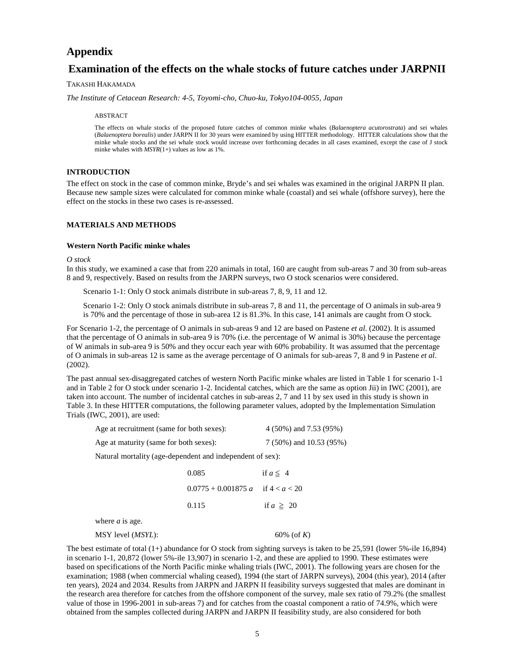# **Appendix**

# **Examination of the effects on the whale stocks of future catches under JARPNII**

# TAKASHI HAKAMADA

*The Institute of Cetacean Research: 4-5, Toyomi-cho, Chuo-ku, Tokyo104-0055, Japan* 

#### ABSTRACT

The effects on whale stocks of the proposed future catches of common minke whales (*Balaenoptera acutorostrata*) and sei whales (*Balaenoptera borealis*) under JARPN II for 30 years were examined by using HITTER methodology. HITTER calculations show that the minke whale stocks and the sei whale stock would increase over forthcoming decades in all cases examined, except the case of J stock minke whales with *MSYR*(1+) values as low as 1%.

# **INTRODUCTION**

The effect on stock in the case of common minke, Bryde's and sei whales was examined in the original JARPN II plan. Because new sample sizes were calculated for common minke whale (coastal) and sei whale (offshore survey), here the effect on the stocks in these two cases is re-assessed.

# **MATERIALS AND METHODS**

## **Western North Pacific minke whales**

#### *O stock*

In this study, we examined a case that from 220 animals in total, 160 are caught from sub-areas 7 and 30 from sub-areas 8 and 9, respectively. Based on results from the JARPN surveys, two O stock scenarios were considered.

Scenario 1-1: Only O stock animals distribute in sub-areas 7, 8, 9, 11 and 12.

Scenario 1-2: Only O stock animals distribute in sub-areas 7, 8 and 11, the percentage of O animals in sub-area 9 is 70% and the percentage of those in sub-area 12 is 81.3%. In this case, 141 animals are caught from O stock.

For Scenario 1-2, the percentage of O animals in sub-areas 9 and 12 are based on Pastene *et al*. (2002). It is assumed that the percentage of O animals in sub-area 9 is 70% (i.e. the percentage of W animal is 30%) because the percentage of W animals in sub-area 9 is 50% and they occur each year with 60% probability. It was assumed that the percentage of O animals in sub-areas 12 is same as the average percentage of O animals for sub-areas 7, 8 and 9 in Pastene *et al*. (2002).

The past annual sex-disaggregated catches of western North Pacific minke whales are listed in Table 1 for scenario 1-1 and in Table 2 for O stock under scenario 1-2. Incidental catches, which are the same as option Jii) in IWC (2001), are taken into account. The number of incidental catches in sub-areas 2, 7 and 11 by sex used in this study is shown in Table 3. In these HITTER computations, the following parameter values, adopted by the Implementation Simulation Trials (IWC, 2001), are used:

| Age at recruitment (same for both sexes): | 4 (50%) and 7.53 (95%)  |
|-------------------------------------------|-------------------------|
| Age at maturity (same for both sexes):    | 7 (50%) and 10.53 (95%) |

Natural mortality (age-dependent and independent of sex):

| 0.085                                 | if $a \leq 4$  |
|---------------------------------------|----------------|
| $0.0775 + 0.001875 a$ if $4 < a < 20$ |                |
| 0.115                                 | if $a \geq 20$ |

where *a* is age.

MSY level (*MSYL*): 60% (of *K*)

The best estimate of total  $(1+)$  abundance for O stock from sighting surveys is taken to be 25,591 (lower 5%-ile 16,894) in scenario 1-1, 20,872 (lower 5%-ile 13,907) in scenario 1-2, and these are applied to 1990. These estimates were based on specifications of the North Pacific minke whaling trials (IWC, 2001). The following years are chosen for the examination; 1988 (when commercial whaling ceased), 1994 (the start of JARPN surveys), 2004 (this year), 2014 (after ten years), 2024 and 2034. Results from JARPN and JARPN II feasibility surveys suggested that males are dominant in the research area therefore for catches from the offshore component of the survey, male sex ratio of 79.2% (the smallest value of those in 1996-2001 in sub-areas 7) and for catches from the coastal component a ratio of 74.9%, which were obtained from the samples collected during JARPN and JARPN II feasibility study, are also considered for both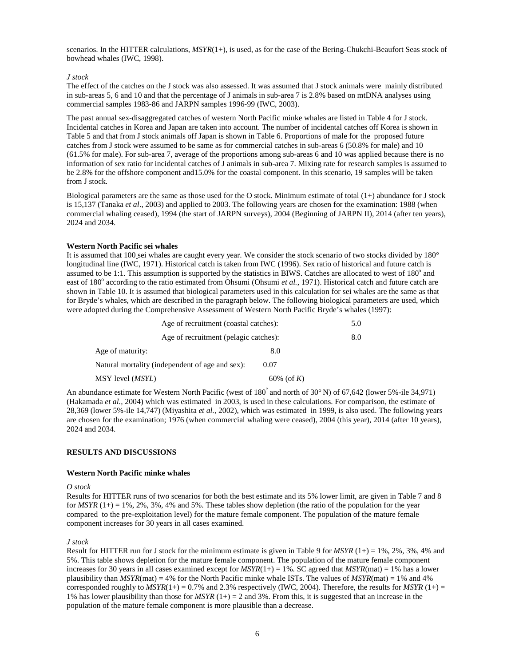scenarios. In the HITTER calculations, *MSYR*(1+), is used, as for the case of the Bering-Chukchi-Beaufort Seas stock of bowhead whales (IWC, 1998).

## *J stock*

The effect of the catches on the J stock was also assessed. It was assumed that J stock animals were mainly distributed in sub-areas 5, 6 and 10 and that the percentage of J animals in sub-area 7 is 2.8% based on mtDNA analyses using commercial samples 1983-86 and JARPN samples 1996-99 (IWC, 2003).

The past annual sex-disaggregated catches of western North Pacific minke whales are listed in Table 4 for J stock. Incidental catches in Korea and Japan are taken into account. The number of incidental catches off Korea is shown in Table 5 and that from J stock animals off Japan is shown in Table 6. Proportions of male for the proposed future catches from J stock were assumed to be same as for commercial catches in sub-areas 6 (50.8% for male) and 10 (61.5% for male). For sub-area 7, average of the proportions among sub-areas 6 and 10 was applied because there is no information of sex ratio for incidental catches of J animals in sub-area 7. Mixing rate for research samples is assumed to be 2.8% for the offshore component and15.0% for the coastal component. In this scenario, 19 samples will be taken from J stock.

Biological parameters are the same as those used for the O stock. Minimum estimate of total  $(1+)$  abundance for J stock is 15,137 (Tanaka *et al*., 2003) and applied to 2003. The following years are chosen for the examination: 1988 (when commercial whaling ceased), 1994 (the start of JARPN surveys), 2004 (Beginning of JARPN II), 2014 (after ten years), 2024 and 2034.

## **Western North Pacific sei whales**

It is assumed that 100 sei whales are caught every year. We consider the stock scenario of two stocks divided by 180° longitudinal line (IWC, 1971). Historical catch is taken from IWC (1996). Sex ratio of historical and future catch is assumed to be 1:1. This assumption is supported by the statistics in BIWS. Catches are allocated to west of  $180^\circ$  and east of 180<sup>°</sup> according to the ratio estimated from Ohsumi (Ohsumi et al., 1971). Historical catch and future catch are shown in Table 10. It is assumed that biological parameters used in this calculation for sei whales are the same as that for Bryde's whales, which are described in the paragraph below. The following biological parameters are used, which were adopted during the Comprehensive Assessment of Western North Pacific Bryde's whales (1997):

| Age of recruitment (coastal catches):           |            | 5.0 |
|-------------------------------------------------|------------|-----|
| Age of recruitment (pelagic catches):           |            | 8.0 |
| Age of maturity:                                | 8.0        |     |
| Natural mortality (independent of age and sex): | 0.07       |     |
| MSY level ( <i>MSYL</i> )                       | 60% (of K) |     |

An abundance estimate for Western North Pacific (west of 180<sup>°</sup> and north of 30° N) of 67,642 (lower 5%-ile 34,971) (Hakamada *et al.,* 2004) which was estimated in 2003, is used in these calculations. For comparison, the estimate of 28,369 (lower 5%-ile 14,747) (Miyashita *et al.,* 2002), which was estimated in 1999, is also used. The following years are chosen for the examination; 1976 (when commercial whaling were ceased), 2004 (this year), 2014 (after 10 years), 2024 and 2034.

## **RESULTS AND DISCUSSIONS**

## **Western North Pacific minke whales**

## *O stock*

Results for HITTER runs of two scenarios for both the best estimate and its 5% lower limit, are given in Table 7 and 8 for *MSYR*  $(1+) = 1\%$ , 2%, 3%, 4% and 5%. These tables show depletion (the ratio of the population for the year compared to the pre-exploitation level) for the mature female component. The population of the mature female component increases for 30 years in all cases examined.

## *J stock*

Result for HITTER run for J stock for the minimum estimate is given in Table 9 for  $MSYR$  (1+) = 1%, 2%, 3%, 4% and 5%. This table shows depletion for the mature female component. The population of the mature female component increases for 30 years in all cases examined except for  $MSYR(1+) = 1\%$ . SC agreed that  $MSYR(mat) = 1\%$  has a lower plausibility than *MSYR*(mat) = 4% for the North Pacific minke whale ISTs. The values of *MSYR*(mat) = 1% and 4% corresponded roughly to  $MSYR(1+) = 0.7\%$  and 2.3% respectively (IWC, 2004). Therefore, the results for MSYR (1+) = 1% has lower plausibility than those for *MSYR*  $(1+) = 2$  and 3%. From this, it is suggested that an increase in the population of the mature female component is more plausible than a decrease.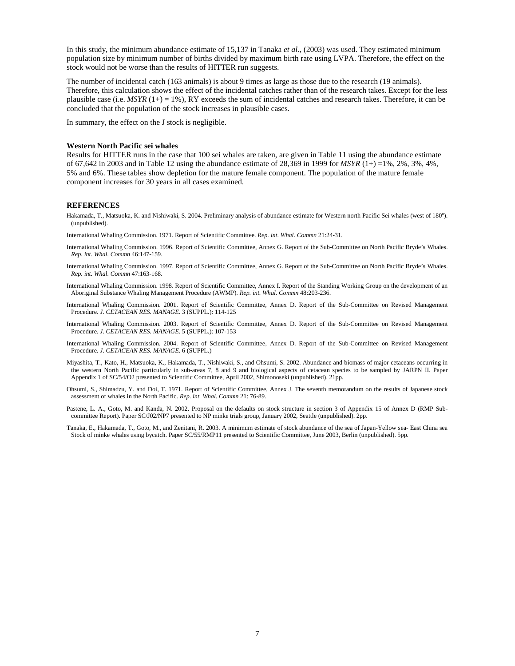In this study, the minimum abundance estimate of 15,137 in Tanaka *et al.*, (2003) was used. They estimated minimum population size by minimum number of births divided by maximum birth rate using LVPA. Therefore, the effect on the stock would not be worse than the results of HITTER run suggests.

The number of incidental catch (163 animals) is about 9 times as large as those due to the research (19 animals). Therefore, this calculation shows the effect of the incidental catches rather than of the research takes. Except for the less plausible case (i.e.  $MSYR$  (1+) = 1%), RY exceeds the sum of incidental catches and research takes. Therefore, it can be concluded that the population of the stock increases in plausible cases.

In summary, the effect on the J stock is negligible.

#### **Western North Pacific sei whales**

Results for HITTER runs in the case that 100 sei whales are taken, are given in Table 11 using the abundance estimate of 67,642 in 2003 and in Table 12 using the abundance estimate of 28,369 in 1999 for *MSYR* (1+) =1%, 2%, 3%, 4%, 5% and 6%. These tables show depletion for the mature female component. The population of the mature female component increases for 30 years in all cases examined.

#### **REFERENCES**

Hakamada, T., Matsuoka, K. and Nishiwaki, S. 2004. Preliminary analysis of abundance estimate for Western north Pacific Sei whales (west of 180°). (unpublished).

International Whaling Commission. 1971. Report of Scientific Committee. *Rep. int. Whal. Commn* 21:24-31.

- International Whaling Commission. 1996. Report of Scientific Committee, Annex G. Report of the Sub-Committee on North Pacific Bryde's Whales. *Rep. int. Whal. Commn* 46:147-159.
- International Whaling Commission. 1997. Report of Scientific Committee, Annex G. Report of the Sub-Committee on North Pacific Bryde's Whales. *Rep. int. Whal. Commn* 47:163-168.
- International Whaling Commission. 1998. Report of Scientific Committee, Annex I. Report of the Standing Working Group on the development of an Aboriginal Substance Whaling Management Procedure (AWMP). *Rep. int. Whal. Commn* 48:203-236.
- International Whaling Commission. 2001. Report of Scientific Committee, Annex D. Report of the Sub-Committee on Revised Management Procedure. *J. CETACEAN RES. MANAGE.* 3 (SUPPL.): 114-125
- International Whaling Commission. 2003. Report of Scientific Committee, Annex D. Report of the Sub-Committee on Revised Management Procedure. *J. CETACEAN RES. MANAGE.* 5 (SUPPL.): 107-153
- International Whaling Commission. 2004. Report of Scientific Committee, Annex D. Report of the Sub-Committee on Revised Management Procedure. *J. CETACEAN RES. MANAGE.* 6 (SUPPL.)
- Miyashita, T., Kato, H., Matsuoka, K., Hakamada, T., Nishiwaki, S., and Ohsumi, S. 2002. Abundance and biomass of major cetaceans occurring in the western North Pacific particularly in sub-areas 7, 8 and 9 and biological aspects of cetacean species to be sampled by JARPN II. Paper Appendix 1 of SC/54/O2 presented to Scientific Committee, April 2002, Shimonoseki (unpublished). 21pp.
- Ohsumi, S., Shimadzu, Y. and Doi, T. 1971. Report of Scientific Committee, Annex J. The seventh memorandum on the results of Japanese stock assessment of whales in the North Pacific. *Rep. int. Whal. Commn* 21: 76-89.
- Pastene, L. A., Goto, M. and Kanda, N. 2002. Proposal on the defaults on stock structure in section 3 of Appendix 15 of Annex D (RMP Subcommittee Report). Paper SC/J02/NP7 presented to NP minke trials group, January 2002, Seattle (unpublished). 2pp.
- Tanaka, E., Hakamada, T., Goto, M., and Zenitani, R. 2003. A minimum estimate of stock abundance of the sea of Japan-Yellow sea- East China sea Stock of minke whales using bycatch. Paper SC/55/RMP11 presented to Scientific Committee, June 2003, Berlin (unpublished). 5pp.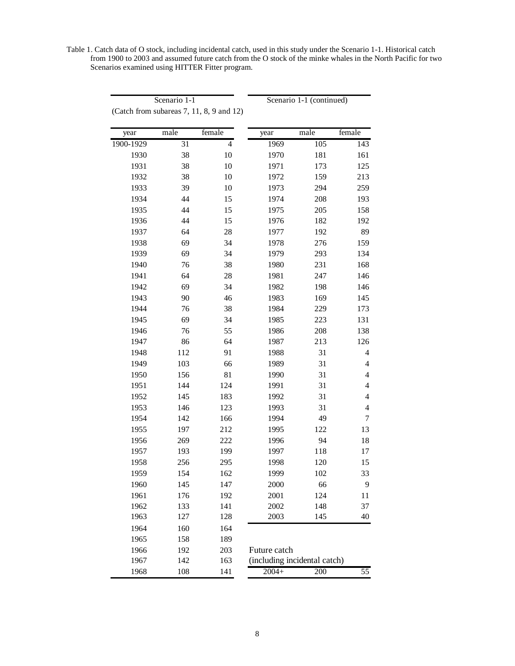Table 1. Catch data of O stock, including incidental catch, used in this study under the Scenario 1-1. Historical catch from 1900 to 2003 and assumed future catch from the O stock of the minke whales in the North Pacific for two Scenarios examined using HITTER Fitter program.

Scenario 1-1 Scenario 1-1 (continued)

| year      | male            | female         | year                         | male             | female                   |
|-----------|-----------------|----------------|------------------------------|------------------|--------------------------|
| 1900-1929 | $\overline{31}$ | $\overline{4}$ | 1969                         | $\overline{105}$ | 143                      |
| 1930      | 38              | 10             | 1970                         | 181              | 161                      |
| 1931      | 38              | 10             | 1971                         | 173              | 125                      |
| 1932      | 38              | 10             | 1972                         | 159              | 213                      |
| 1933      | 39              | 10             | 1973                         | 294              | 259                      |
| 1934      | 44              | 15             | 1974                         | 208              | 193                      |
| 1935      | 44              | 15             | 1975                         | 205              | 158                      |
| 1936      | 44              | 15             | 1976                         | 182              | 192                      |
| 1937      | 64              | 28             | 1977                         | 192              | 89                       |
| 1938      | 69              | 34             | 1978                         | 276              | 159                      |
| 1939      | 69              | 34             | 1979                         | 293              | 134                      |
| 1940      | 76              | 38             | 1980                         | 231              | 168                      |
| 1941      | 64              | $28\,$         | 1981                         | 247              | 146                      |
| 1942      | 69              | 34             | 1982                         | 198              | 146                      |
| 1943      | 90              | 46             | 1983                         | 169              | 145                      |
| 1944      | 76              | 38             | 1984                         | 229              | 173                      |
| 1945      | 69              | 34             | 1985                         | 223              | 131                      |
| 1946      | 76              | 55             | 1986                         | 208              | 138                      |
| 1947      | 86              | 64             | 1987                         | 213              | 126                      |
| 1948      | 112             | 91             | 1988                         | 31               | $\overline{4}$           |
| 1949      | 103             | 66             | 1989                         | 31               | $\overline{4}$           |
| 1950      | 156             | 81             | 1990                         | 31               | $\overline{4}$           |
| 1951      | 144             | 124            | 1991                         | 31               | $\overline{\mathcal{A}}$ |
| 1952      | 145             | 183            | 1992                         | 31               | $\overline{4}$           |
| 1953      | 146             | 123            | 1993                         | 31               | $\overline{4}$           |
| 1954      | 142             | 166            | 1994                         | 49               | 7                        |
| 1955      | 197             | 212            | 1995                         | 122              | 13                       |
| 1956      | 269             | 222            | 1996                         | 94               | 18                       |
| 1957      | 193             | 199            | 1997                         | 118              | 17                       |
| 1958      | 256             | 295            | 1998                         | 120              | 15                       |
| 1959      | 154             | 162            | 1999                         | 102              | 33                       |
| 1960      | 145             | 147            | 2000                         | 66               | 9                        |
| 1961      | 176             | 192            | 2001                         | 124              | 11                       |
| 1962      | 133             | 141            | 2002                         | 148              | 37                       |
| 1963      | 127             | 128            | 2003                         | 145              | 40                       |
| 1964      | 160             | 164            |                              |                  |                          |
| 1965      | 158             | 189            |                              |                  |                          |
| 1966      | 192             | 203            | Future catch                 |                  |                          |
| 1967      | 142             | 163            | (including incidental catch) |                  |                          |
| 1968      | 108             | 141            | $2004+$                      | 200              | 55                       |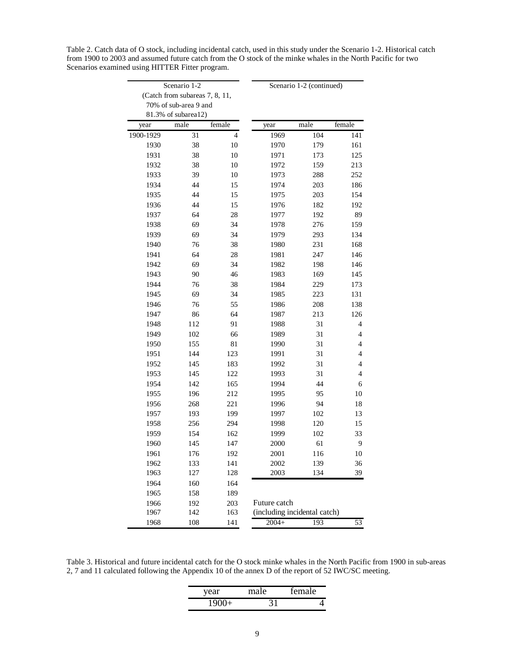|           | Scenario 1-2                   |        | Scenario 1-2 (continued)     |      |                |
|-----------|--------------------------------|--------|------------------------------|------|----------------|
|           | (Catch from subareas 7, 8, 11, |        |                              |      |                |
|           | 70% of sub-area 9 and          |        |                              |      |                |
|           | 81.3% of subarea12)            |        |                              |      |                |
| year      | male                           | female | year                         | male | female         |
| 1900-1929 | 31                             | 4      | 1969                         | 104  | 141            |
| 1930      | 38                             | 10     | 1970                         | 179  | 161            |
| 1931      | 38                             | 10     | 1971                         | 173  | 125            |
| 1932      | 38                             | 10     | 1972                         | 159  | 213            |
| 1933      | 39                             | 10     | 1973                         | 288  | 252            |
| 1934      | 44                             | 15     | 1974                         | 203  | 186            |
| 1935      | 44                             | 15     | 1975                         | 203  | 154            |
| 1936      | 44                             | 15     | 1976                         | 182  | 192            |
| 1937      | 64                             | 28     | 1977                         | 192  | 89             |
| 1938      | 69                             | 34     | 1978                         | 276  | 159            |
| 1939      | 69                             | 34     | 1979                         | 293  | 134            |
| 1940      | 76                             | 38     | 1980                         | 231  | 168            |
| 1941      | 64                             | 28     | 1981                         | 247  | 146            |
| 1942      | 69                             | 34     | 1982                         | 198  | 146            |
| 1943      | 90                             | 46     | 1983                         | 169  | 145            |
| 1944      | 76                             | 38     | 1984                         | 229  | 173            |
| 1945      | 69                             | 34     | 1985                         | 223  | 131            |
| 1946      | 76                             | 55     | 1986                         | 208  | 138            |
| 1947      | 86                             | 64     | 1987                         | 213  | 126            |
| 1948      | 112                            | 91     | 1988                         | 31   | 4              |
| 1949      | 102                            | 66     | 1989                         | 31   | $\overline{4}$ |
| 1950      | 155                            | 81     | 1990                         | 31   | $\overline{4}$ |
| 1951      | 144                            | 123    | 1991                         | 31   | $\overline{4}$ |
| 1952      | 145                            | 183    | 1992                         | 31   | $\overline{4}$ |
| 1953      | 145                            | 122    | 1993                         | 31   | $\overline{4}$ |
| 1954      | 142                            | 165    | 1994                         | 44   | 6              |
| 1955      | 196                            | 212    | 1995                         | 95   | 10             |
| 1956      | 268                            | 221    | 1996                         | 94   | 18             |
| 1957      | 193                            | 199    | 1997                         | 102  | 13             |
| 1958      | 256                            | 294    | 1998                         | 120  | 15             |
| 1959      | 154                            | 162    | 1999                         | 102  | 33             |
| 1960      | 145                            | 147    | 2000                         | 61   | 9              |
| 1961      | 176                            | 192    | 2001                         | 116  | $10\,$         |
| 1962      | 133                            | 141    | 2002                         | 139  | 36             |
| 1963      | 127                            | 128    | 2003                         | 134  | 39             |
| 1964      | 160                            | 164    |                              |      |                |
| 1965      | 158                            | 189    |                              |      |                |
| 1966      | 192                            | 203    | Future catch                 |      |                |
| 1967      | 142                            | 163    | (including incidental catch) |      |                |
| 1968      | 108                            | 141    | $2004+$                      | 193  | 53             |

Table 2. Catch data of O stock, including incidental catch, used in this study under the Scenario 1-2. Historical catch from 1900 to 2003 and assumed future catch from the O stock of the minke whales in the North Pacific for two Scenarios examined using HITTER Fitter program.

Table 3. Historical and future incidental catch for the O stock minke whales in the North Pacific from 1900 in sub-areas 2, 7 and 11 calculated following the Appendix 10 of the annex D of the report of 52 IWC/SC meeting.

| vear<br><b>Section</b> | 'e | <i>i</i> emale : |
|------------------------|----|------------------|
|                        |    |                  |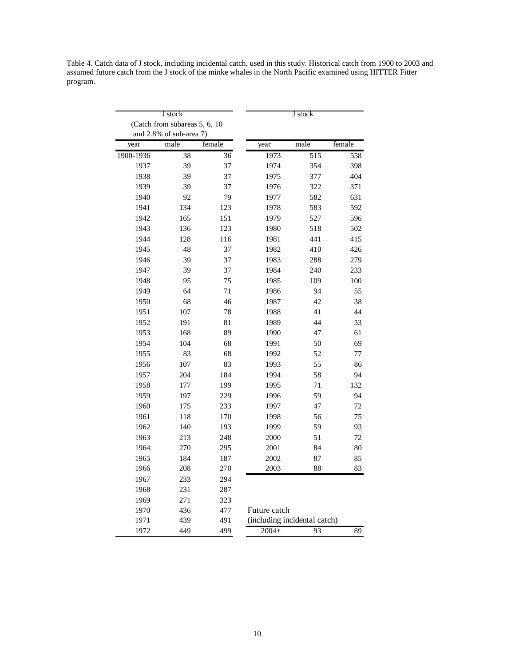Table 4. Catch data of J stock, including incidental catch, used in this study. Historical catch from 1900 to 2003 and assumed future catch from the J stock of the minke whales in the North Pacific examined using HITTER Fitter program.

|           | J stock                        |                 | J stock                      |      |        |
|-----------|--------------------------------|-----------------|------------------------------|------|--------|
|           | (Catch from subareas 5, 6, 10) |                 |                              |      |        |
|           | and 2.8% of sub-area 7)        |                 |                              |      |        |
| year      | male                           | female          | year                         | male | female |
| 1900-1936 | 38                             | $\overline{36}$ | 1973                         | 515  | 558    |
| 1937      | 39                             | 37              | 1974                         | 354  | 398    |
| 1938      | 39                             | 37              | 1975                         | 377  | 404    |
| 1939      | 39                             | 37              | 1976                         | 322  | 371    |
| 1940      | 92                             | 79              | 1977                         | 582  | 631    |
| 1941      | 134                            | 123             | 1978                         | 583  | 592    |
| 1942      | 165                            | 151             | 1979                         | 527  | 596    |
| 1943      | 136                            | 123             | 1980                         | 518  | 502    |
| 1944      | 128                            | 116             | 1981                         | 441  | 415    |
| 1945      | 48                             | 37              | 1982                         | 410  | 426    |
| 1946      | 39                             | 37              | 1983                         | 288  | 279    |
| 1947      | 39                             | 37              | 1984                         | 240  | 233    |
| 1948      | 95                             | 75              | 1985                         | 109  | 100    |
| 1949      | 64                             | 71              | 1986                         | 94   | 55     |
| 1950      | 68                             | 46              | 1987                         | 42   | 38     |
| 1951      | 107                            | 78              | 1988                         | 41   | 44     |
| 1952      | 191                            | 81              | 1989                         | 44   | 53     |
| 1953      | 168                            | 89              | 1990                         | 47   | 61     |
| 1954      | 104                            | 68              | 1991                         | 50   | 69     |
| 1955      | 83                             | 68              | 1992                         | 52   | 77     |
| 1956      | 107                            | 83              | 1993                         | 55   | 86     |
| 1957      | 204                            | 184             | 1994                         | 58   | 94     |
| 1958      | 177                            | 199             | 1995                         | 71   | 132    |
| 1959      | 197                            | 229             | 1996                         | 59   | 94     |
| 1960      | 175                            | 233             | 1997                         | 47   | 72     |
| 1961      | 118                            | 170             | 1998                         | 56   | 75     |
| 1962      | 140                            | 193             | 1999                         | 59   | 93     |
| 1963      | 213                            | 248             | 2000                         | 51   | 72     |
| 1964      | 270                            | 295             | 2001                         | 84   | 80     |
| 1965      | 184                            | 187             | 2002                         | 87   | 85     |
| 1966      | 208                            | 270             | 2003                         | 88   | 83     |
| 1967      | 233                            | 294             |                              |      |        |
| 1968      | 231                            | 287             |                              |      |        |
| 1969      | 271                            | 323             |                              |      |        |
| 1970      | 436                            | 477             | Future catch                 |      |        |
| 1971      | 439                            | 491             | (including incidental catch) |      |        |
| 1972      | 449                            | 499             | $2004+$                      | 93   | 89     |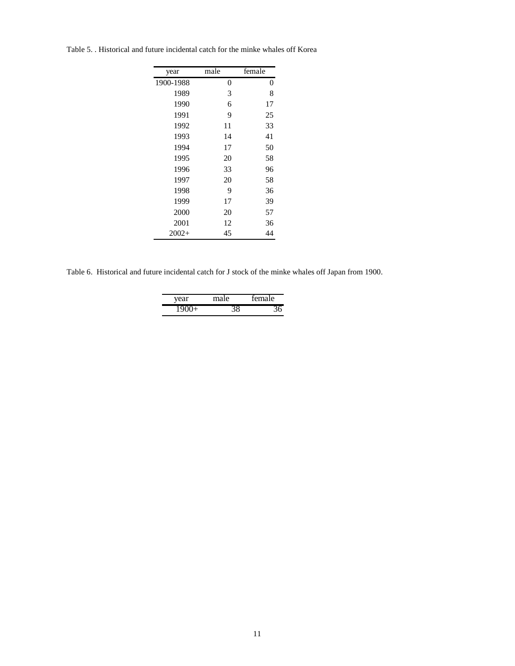Table 5. . Historical and future incidental catch for the minke whales off Korea

| year      | male | female |
|-----------|------|--------|
| 1900-1988 | 0    | 0      |
| 1989      | 3    | 8      |
| 1990      | 6    | 17     |
| 1991      | 9    | 25     |
| 1992      | 11   | 33     |
| 1993      | 14   | 41     |
| 1994      | 17   | 50     |
| 1995      | 20   | 58     |
| 1996      | 33   | 96     |
| 1997      | 20   | 58     |
| 1998      | 9    | 36     |
| 1999      | 17   | 39     |
| 2000      | 20   | 57     |
| 2001      | 12   | 36     |
| $2002+$   | 45   | 44     |

Table 6. Historical and future incidental catch for J stock of the minke whales off Japan from 1900.

| vear | male | temale |
|------|------|--------|
|      |      |        |
|      |      |        |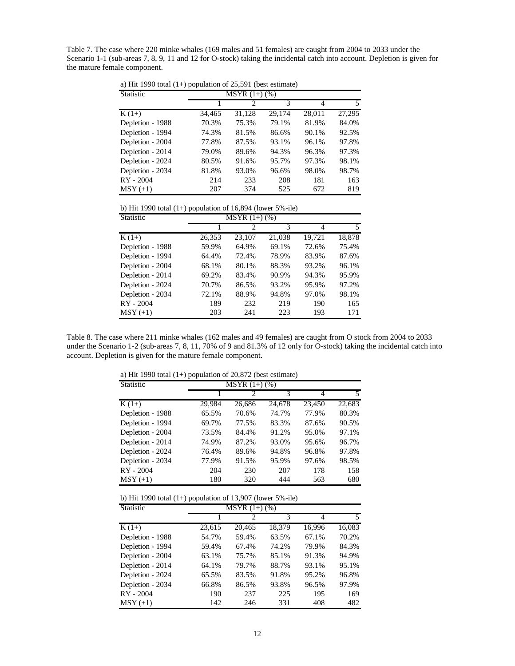Table 7. The case where 220 minke whales (169 males and 51 females) are caught from 2004 to 2033 under the Scenario 1-1 (sub-areas 7, 8, 9, 11 and 12 for O-stock) taking the incidental catch into account. Depletion is given for the mature female component.

a) Hit 1990 total  $(1+)$  population of 25,591 (best estimate)

| Statistic        | $\overline{\text{MSYR}}$ (1+) (%) |                             |        |        |        |  |
|------------------|-----------------------------------|-----------------------------|--------|--------|--------|--|
|                  |                                   | $\mathcal{D}_{\mathcal{A}}$ | 3      | 4      |        |  |
| $K(1+)$          | 34,465                            | 31,128                      | 29,174 | 28,011 | 27,295 |  |
| Depletion - 1988 | 70.3%                             | 75.3%                       | 79.1%  | 81.9%  | 84.0%  |  |
| Depletion - 1994 | 74.3%                             | 81.5%                       | 86.6%  | 90.1%  | 92.5%  |  |
| Depletion - 2004 | 77.8%                             | 87.5%                       | 93.1%  | 96.1%  | 97.8%  |  |
| Depletion - 2014 | 79.0%                             | 89.6%                       | 94.3%  | 96.3%  | 97.3%  |  |
| Depletion - 2024 | 80.5%                             | 91.6%                       | 95.7%  | 97.3%  | 98.1%  |  |
| Depletion - 2034 | 81.8%                             | 93.0%                       | 96.6%  | 98.0%  | 98.7%  |  |
| RY - 2004        | 214                               | 233                         | 208    | 181    | 163    |  |
| $MSY (+1)$       | 207                               | 374                         | 525    | 672    | 819    |  |

b) Hit 1990 total (1+) population of 16,894 (lower 5%-ile)

| Statistic        | $\overline{\text{MSYR}}$ (1+) (%) |                             |        |        |        |
|------------------|-----------------------------------|-----------------------------|--------|--------|--------|
|                  |                                   | $\mathcal{D}_{\mathcal{A}}$ | 3      | 4      | 5      |
| $K(1+)$          | 26,353                            | 23,107                      | 21,038 | 19,721 | 18,878 |
| Depletion - 1988 | 59.9%                             | 64.9%                       | 69.1%  | 72.6%  | 75.4%  |
| Depletion - 1994 | 64.4%                             | 72.4%                       | 78.9%  | 83.9%  | 87.6%  |
| Depletion - 2004 | 68.1%                             | 80.1%                       | 88.3%  | 93.2%  | 96.1%  |
| Depletion - 2014 | 69.2%                             | 83.4%                       | 90.9%  | 94.3%  | 95.9%  |
| Depletion - 2024 | 70.7%                             | 86.5%                       | 93.2%  | 95.9%  | 97.2%  |
| Depletion - 2034 | 72.1%                             | 88.9%                       | 94.8%  | 97.0%  | 98.1%  |
| RY - 2004        | 189                               | 232                         | 219    | 190    | 165    |
| $MSY (+1)$       | 203                               | 241                         | 223    | 193    | 171    |

Table 8. The case where 211 minke whales (162 males and 49 females) are caught from O stock from 2004 to 2033 under the Scenario 1-2 (sub-areas 7, 8, 11, 70% of 9 and 81.3% of 12 only for O-stock) taking the incidental catch into account. Depletion is given for the mature female component.

a) Hit 1990 total (1+) population of 20,872 (best estimate)

| Statistic        | $MSYR(1+) (%)$ |                             |        |        |        |  |
|------------------|----------------|-----------------------------|--------|--------|--------|--|
|                  |                | $\mathcal{D}_{\mathcal{A}}$ | 3      | 4      | 5      |  |
| $K(1+)$          | 29,984         | 26,686                      | 24,678 | 23,450 | 22,683 |  |
| Depletion - 1988 | 65.5%          | 70.6%                       | 74.7%  | 77.9%  | 80.3%  |  |
| Depletion - 1994 | 69.7%          | 77.5%                       | 83.3%  | 87.6%  | 90.5%  |  |
| Depletion - 2004 | 73.5%          | 84.4%                       | 91.2%  | 95.0%  | 97.1%  |  |
| Depletion - 2014 | 74.9%          | 87.2%                       | 93.0%  | 95.6%  | 96.7%  |  |
| Depletion - 2024 | 76.4%          | 89.6%                       | 94.8%  | 96.8%  | 97.8%  |  |
| Depletion - 2034 | 77.9%          | 91.5%                       | 95.9%  | 97.6%  | 98.5%  |  |
| RY - 2004        | 204            | 230                         | 207    | 178    | 158    |  |
| $MSY(+1)$        | 180            | 320                         | 444    | 563    | 680    |  |

| b) Hit 1990 total $(1+)$ population of 13,907 (lower 5%-ile) |  |
|--------------------------------------------------------------|--|
|--------------------------------------------------------------|--|

| Statistic        | $MSYR(1+) (%)$ |        |        |        |        |  |  |  |
|------------------|----------------|--------|--------|--------|--------|--|--|--|
|                  |                | 2      | 3      | 4      | 5      |  |  |  |
| $K(1+)$          | 23,615         | 20,465 | 18,379 | 16,996 | 16,083 |  |  |  |
| Depletion - 1988 | 54.7%          | 59.4%  | 63.5%  | 67.1%  | 70.2%  |  |  |  |
| Depletion - 1994 | 59.4%          | 67.4%  | 74.2%  | 79.9%  | 84.3%  |  |  |  |
| Depletion - 2004 | 63.1%          | 75.7%  | 85.1%  | 91.3%  | 94.9%  |  |  |  |
| Depletion - 2014 | 64.1%          | 79.7%  | 88.7%  | 93.1%  | 95.1%  |  |  |  |
| Depletion - 2024 | 65.5%          | 83.5%  | 91.8%  | 95.2%  | 96.8%  |  |  |  |
| Depletion - 2034 | 66.8%          | 86.5%  | 93.8%  | 96.5%  | 97.9%  |  |  |  |
| RY - 2004        | 190            | 237    | 225    | 195    | 169    |  |  |  |
| $MSY (+1)$       | 142            | 246    | 331    | 408    | 482    |  |  |  |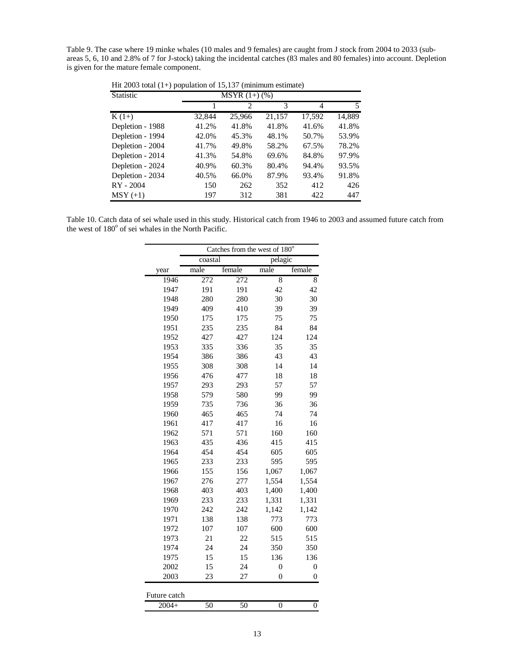Table 9. The case where 19 minke whales (10 males and 9 females) are caught from J stock from 2004 to 2033 (subareas 5, 6, 10 and 2.8% of 7 for J-stock) taking the incidental catches (83 males and 80 females) into account. Depletion is given for the mature female component.

| <b>Statistic</b> | $MSYR(1+)$ (%) |                             |        |        |        |  |  |  |  |
|------------------|----------------|-----------------------------|--------|--------|--------|--|--|--|--|
|                  |                | $\mathcal{D}_{\mathcal{L}}$ | 3      | 4      | 5      |  |  |  |  |
| $K(1+)$          | 32,844         | 25,966                      | 21,157 | 17,592 | 14,889 |  |  |  |  |
| Depletion - 1988 | 41.2%          | 41.8%                       | 41.8%  | 41.6%  | 41.8%  |  |  |  |  |
| Depletion - 1994 | 42.0%          | 45.3%                       | 48.1%  | 50.7%  | 53.9%  |  |  |  |  |
| Depletion - 2004 | 41.7%          | 49.8%                       | 58.2%  | 67.5%  | 78.2%  |  |  |  |  |
| Depletion - 2014 | 41.3%          | 54.8%                       | 69.6%  | 84.8%  | 97.9%  |  |  |  |  |
| Depletion - 2024 | 40.9%          | 60.3%                       | 80.4%  | 94.4%  | 93.5%  |  |  |  |  |
| Depletion - 2034 | 40.5%          | 66.0%                       | 87.9%  | 93.4%  | 91.8%  |  |  |  |  |
| RY - 2004        | 150            | 262                         | 352    | 412    | 426    |  |  |  |  |
| $MSY (+1)$       | 197            | 312                         | 381    | 422    | 447    |  |  |  |  |

Hit 2003 total (1+) population of 15,137 (minimum estimate)

Table 10. Catch data of sei whale used in this study. Historical catch from 1946 to 2003 and assumed future catch from the west of 180° of sei whales in the North Pacific.

|              | Catches from the west of 180° |        |                  |                  |  |  |  |  |  |
|--------------|-------------------------------|--------|------------------|------------------|--|--|--|--|--|
|              | coastal                       |        | pelagic          |                  |  |  |  |  |  |
| year         | male                          | female | male             | female           |  |  |  |  |  |
| 1946         | 272                           | 272    | 8                | 8                |  |  |  |  |  |
| 1947         | 191                           | 191    | 42               | 42               |  |  |  |  |  |
| 1948         | 280                           | 280    | 30               | 30               |  |  |  |  |  |
| 1949         | 409                           | 410    | 39               | 39               |  |  |  |  |  |
| 1950         | 175                           | 175    | 75               | 75               |  |  |  |  |  |
| 1951         | 235                           | 235    | 84               | 84               |  |  |  |  |  |
| 1952         | 427                           | 427    | 124              | 124              |  |  |  |  |  |
| 1953         | 335                           | 336    | 35               | 35               |  |  |  |  |  |
| 1954         | 386                           | 386    | 43               | 43               |  |  |  |  |  |
| 1955         | 308                           | 308    | 14               | 14               |  |  |  |  |  |
| 1956         | 476                           | 477    | 18               | 18               |  |  |  |  |  |
| 1957         | 293                           | 293    | 57               | 57               |  |  |  |  |  |
| 1958         | 579                           | 580    | 99               | 99               |  |  |  |  |  |
| 1959         | 735                           | 736    | 36               | 36               |  |  |  |  |  |
| 1960         | 465                           | 465    | 74               | 74               |  |  |  |  |  |
| 1961         | 417                           | 417    | 16               | 16               |  |  |  |  |  |
| 1962         | 571                           | 571    | 160              | 160              |  |  |  |  |  |
| 1963         | 435                           | 436    | 415              | 415              |  |  |  |  |  |
| 1964         | 454                           | 454    | 605              | 605              |  |  |  |  |  |
| 1965         | 233                           | 233    | 595              | 595              |  |  |  |  |  |
| 1966         | 155                           | 156    | 1,067            | 1,067            |  |  |  |  |  |
| 1967         | 276                           | 277    | 1,554            | 1,554            |  |  |  |  |  |
| 1968         | 403                           | 403    | 1,400            | 1,400            |  |  |  |  |  |
| 1969         | 233                           | 233    | 1,331            | 1,331            |  |  |  |  |  |
| 1970         | 242                           | 242    | 1,142            | 1,142            |  |  |  |  |  |
| 1971         | 138                           | 138    | 773              | 773              |  |  |  |  |  |
| 1972         | 107                           | 107    | 600              | 600              |  |  |  |  |  |
| 1973         | 21                            | 22     | 515              | 515              |  |  |  |  |  |
| 1974         | 24                            | 24     | 350              | 350              |  |  |  |  |  |
| 1975         | 15                            | 15     | 136              | 136              |  |  |  |  |  |
| 2002         | 15                            | 24     | $\boldsymbol{0}$ | $\boldsymbol{0}$ |  |  |  |  |  |
| 2003         | 23                            | 27     | $\boldsymbol{0}$ | $\boldsymbol{0}$ |  |  |  |  |  |
| Future catch |                               |        |                  |                  |  |  |  |  |  |
| $2004+$      | 50                            | 50     | $\overline{0}$   | $\overline{0}$   |  |  |  |  |  |